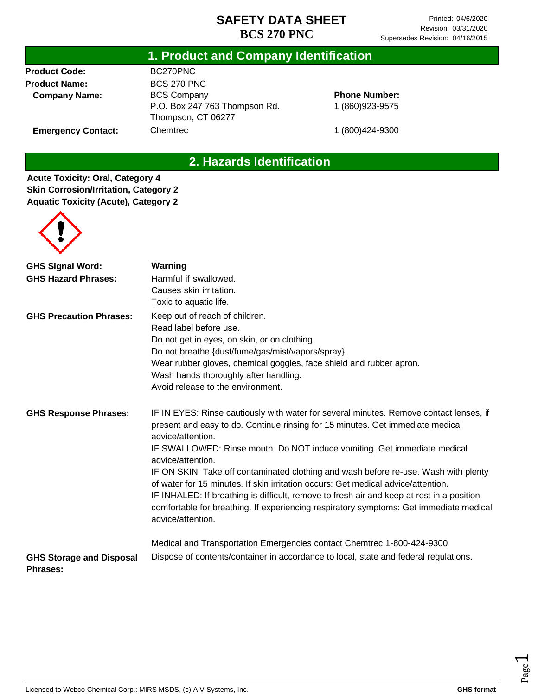# **1. Product and Company Identification**

**Product Code: Product Name: Company Name:**

**Emergency Contact:**

BC270PNC BCS 270 PNC BCS Company P.O. Box 247 763 Thompson Rd. Thompson, CT 06277 Chemtrec

**Phone Number:** 1 (860)923-9575

1 (800)424-9300

# **2. Hazards Identification**

**Acute Toxicity: Oral, Category 4 Skin Corrosion/Irritation, Category 2 Aquatic Toxicity (Acute), Category 2**



| <b>GHS Signal Word:</b>                            | Warning                                                                                                                                                                                                                                                                                                                                                                              |  |  |
|----------------------------------------------------|--------------------------------------------------------------------------------------------------------------------------------------------------------------------------------------------------------------------------------------------------------------------------------------------------------------------------------------------------------------------------------------|--|--|
| <b>GHS Hazard Phrases:</b>                         | Harmful if swallowed.                                                                                                                                                                                                                                                                                                                                                                |  |  |
|                                                    | Causes skin irritation.                                                                                                                                                                                                                                                                                                                                                              |  |  |
|                                                    | Toxic to aquatic life.                                                                                                                                                                                                                                                                                                                                                               |  |  |
| <b>GHS Precaution Phrases:</b>                     | Keep out of reach of children.                                                                                                                                                                                                                                                                                                                                                       |  |  |
|                                                    | Read label before use.                                                                                                                                                                                                                                                                                                                                                               |  |  |
|                                                    | Do not get in eyes, on skin, or on clothing.                                                                                                                                                                                                                                                                                                                                         |  |  |
|                                                    | Do not breathe {dust/fume/gas/mist/vapors/spray}.                                                                                                                                                                                                                                                                                                                                    |  |  |
|                                                    | Wear rubber gloves, chemical goggles, face shield and rubber apron.                                                                                                                                                                                                                                                                                                                  |  |  |
|                                                    | Wash hands thoroughly after handling.                                                                                                                                                                                                                                                                                                                                                |  |  |
|                                                    | Avoid release to the environment.                                                                                                                                                                                                                                                                                                                                                    |  |  |
| <b>GHS Response Phrases:</b>                       | IF IN EYES: Rinse cautiously with water for several minutes. Remove contact lenses, if<br>present and easy to do. Continue rinsing for 15 minutes. Get immediate medical<br>advice/attention.                                                                                                                                                                                        |  |  |
|                                                    | IF SWALLOWED: Rinse mouth. Do NOT induce vomiting. Get immediate medical<br>advice/attention.                                                                                                                                                                                                                                                                                        |  |  |
|                                                    | IF ON SKIN: Take off contaminated clothing and wash before re-use. Wash with plenty<br>of water for 15 minutes. If skin irritation occurs: Get medical advice/attention.<br>IF INHALED: If breathing is difficult, remove to fresh air and keep at rest in a position<br>comfortable for breathing. If experiencing respiratory symptoms: Get immediate medical<br>advice/attention. |  |  |
|                                                    | Medical and Transportation Emergencies contact Chemtrec 1-800-424-9300                                                                                                                                                                                                                                                                                                               |  |  |
| <b>GHS Storage and Disposal</b><br><b>Phrases:</b> | Dispose of contents/container in accordance to local, state and federal regulations.                                                                                                                                                                                                                                                                                                 |  |  |

Page  $\overline{\phantom{0}}$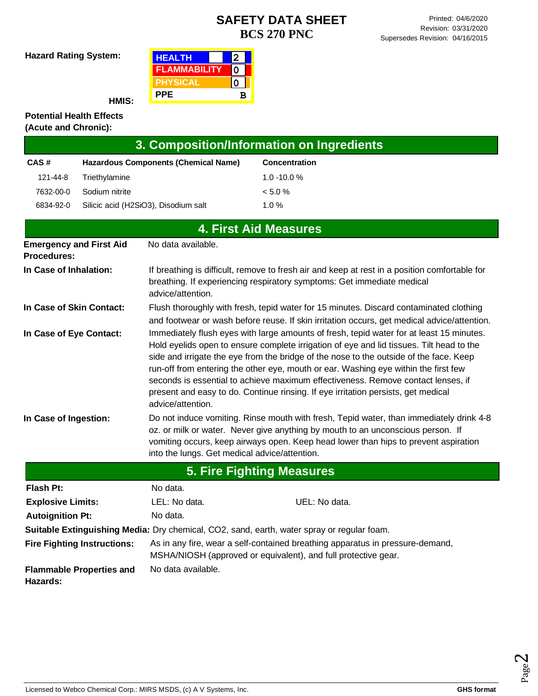**Hazard Rating System:**

| <b>HEALTH</b>       |   |  |
|---------------------|---|--|
| <b>FLAMMABILITY</b> |   |  |
| PHYSICAL            |   |  |
| <b>PPE</b>          | в |  |

**HMIS:**

#### **Potential Health Effects (Acute and Chronic):**

| 3. Composition/Information on Ingredients            |                |                                               |                                                                                                                                                                                                                                                                                                                                                                                                                                                                                                                                                |
|------------------------------------------------------|----------------|-----------------------------------------------|------------------------------------------------------------------------------------------------------------------------------------------------------------------------------------------------------------------------------------------------------------------------------------------------------------------------------------------------------------------------------------------------------------------------------------------------------------------------------------------------------------------------------------------------|
| CAS#                                                 |                | <b>Hazardous Components (Chemical Name)</b>   | Concentration                                                                                                                                                                                                                                                                                                                                                                                                                                                                                                                                  |
| 121-44-8                                             | Triethylamine  |                                               | $1.0 - 10.0 %$                                                                                                                                                                                                                                                                                                                                                                                                                                                                                                                                 |
| 7632-00-0                                            | Sodium nitrite |                                               | < 5.0 %                                                                                                                                                                                                                                                                                                                                                                                                                                                                                                                                        |
| 6834-92-0                                            |                | Silicic acid (H2SiO3), Disodium salt          | 1.0%                                                                                                                                                                                                                                                                                                                                                                                                                                                                                                                                           |
|                                                      |                |                                               | <b>4. First Aid Measures</b>                                                                                                                                                                                                                                                                                                                                                                                                                                                                                                                   |
| <b>Emergency and First Aid</b><br><b>Procedures:</b> |                | No data available.                            |                                                                                                                                                                                                                                                                                                                                                                                                                                                                                                                                                |
| In Case of Inhalation:                               |                | advice/attention.                             | If breathing is difficult, remove to fresh air and keep at rest in a position comfortable for<br>breathing. If experiencing respiratory symptoms: Get immediate medical                                                                                                                                                                                                                                                                                                                                                                        |
| In Case of Skin Contact:                             |                |                                               | Flush thoroughly with fresh, tepid water for 15 minutes. Discard contaminated clothing<br>and footwear or wash before reuse. If skin irritation occurs, get medical advice/attention.                                                                                                                                                                                                                                                                                                                                                          |
| In Case of Eye Contact:                              |                | advice/attention.                             | Immediately flush eyes with large amounts of fresh, tepid water for at least 15 minutes.<br>Hold eyelids open to ensure complete irrigation of eye and lid tissues. Tilt head to the<br>side and irrigate the eye from the bridge of the nose to the outside of the face. Keep<br>run-off from entering the other eye, mouth or ear. Washing eye within the first few<br>seconds is essential to achieve maximum effectiveness. Remove contact lenses, if<br>present and easy to do. Continue rinsing. If eye irritation persists, get medical |
| In Case of Ingestion:                                |                | into the lungs. Get medical advice/attention. | Do not induce vomiting. Rinse mouth with fresh, Tepid water, than immediately drink 4-8<br>oz. or milk or water. Never give anything by mouth to an unconscious person. If<br>vomiting occurs, keep airways open. Keep head lower than hips to prevent aspiration                                                                                                                                                                                                                                                                              |
|                                                      |                |                                               | <b>5. Fire Fighting Measures</b>                                                                                                                                                                                                                                                                                                                                                                                                                                                                                                               |
| Flash Pt:                                            |                | No data.                                      |                                                                                                                                                                                                                                                                                                                                                                                                                                                                                                                                                |
| <b>Explosive Limits:</b>                             |                | LEL: No data.                                 | UEL: No data.                                                                                                                                                                                                                                                                                                                                                                                                                                                                                                                                  |
| <b>Autoignition Pt:</b>                              |                | No data.                                      |                                                                                                                                                                                                                                                                                                                                                                                                                                                                                                                                                |

**Suitable Extinguishing Media:** Dry chemical, CO2, sand, earth, water spray or regular foam.

**Fire Fighting Instructions:** As in any fire, wear a self-contained breathing apparatus in pressure-demand, MSHA/NIOSH (approved or equivalent), and full protective gear. No data available.

**Flammable Properties and Hazards:**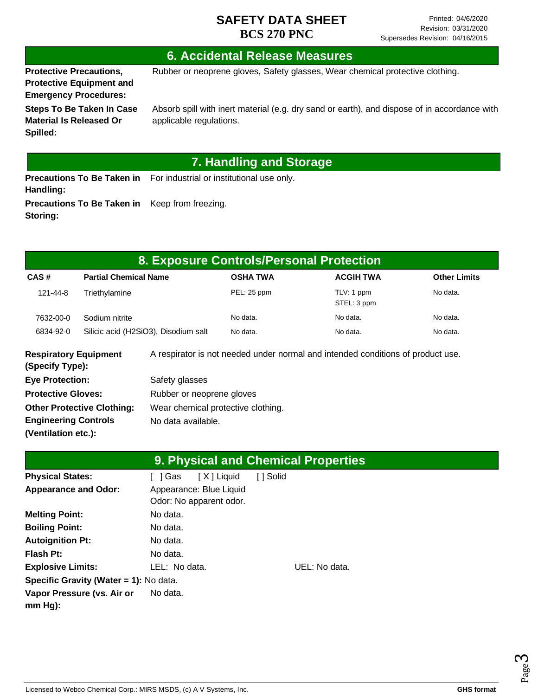# **6. Accidental Release Measures**

**Protective Precautions, Protective Equipment and Emergency Procedures:**

**Storing:**

Rubber or neoprene gloves, Safety glasses, Wear chemical protective clothing.

**Steps To Be Taken In Case Material Is Released Or Spilled:**

Absorb spill with inert material (e.g. dry sand or earth), and dispose of in accordance with applicable regulations.

# **7. Handling and Storage**

**Precautions To Be Taken in** For industrial or institutional use only. **Handling: Precautions To Be Taken in**  Keep from freezing.

| 8. Exposure Controls/Personal Protection        |                              |                                      |                 |                                                                                 |                     |  |
|-------------------------------------------------|------------------------------|--------------------------------------|-----------------|---------------------------------------------------------------------------------|---------------------|--|
| CAS#                                            | <b>Partial Chemical Name</b> |                                      | <b>OSHA TWA</b> | <b>ACGIH TWA</b>                                                                | <b>Other Limits</b> |  |
| 121-44-8                                        | Triethylamine                |                                      | PEL: 25 ppm     | TLV: 1 ppm<br>STEL: 3 ppm                                                       | No data.            |  |
| 7632-00-0                                       | Sodium nitrite               |                                      | No data.        | No data.                                                                        | No data.            |  |
| 6834-92-0                                       |                              | Silicic acid (H2SiO3), Disodium salt | No data.        | No data.                                                                        | No data.            |  |
| <b>Respiratory Equipment</b><br>(Specify Type): |                              |                                      |                 | A respirator is not needed under normal and intended conditions of product use. |                     |  |
| <b>Eye Protection:</b>                          |                              | Safety glasses                       |                 |                                                                                 |                     |  |

| <b>Protective Gloves:</b>         | Rubber or neoprene gloves          |
|-----------------------------------|------------------------------------|
| <b>Other Protective Clothing:</b> | Wear chemical protective clothing. |
| <b>Engineering Controls</b>       | No data available.                 |
| (Ventilation etc.):               |                                    |

| <b>9. Physical and Chemical Properties</b> |                         |               |  |  |
|--------------------------------------------|-------------------------|---------------|--|--|
| <b>Physical States:</b>                    | [X] Liquid<br>1 Gas     | [ ] Solid     |  |  |
| <b>Appearance and Odor:</b>                | Appearance: Blue Liquid |               |  |  |
|                                            | Odor: No apparent odor. |               |  |  |
| <b>Melting Point:</b>                      | No data.                |               |  |  |
| <b>Boiling Point:</b>                      | No data.                |               |  |  |
| <b>Autoignition Pt:</b>                    | No data.                |               |  |  |
| Flash Pt:                                  | No data.                |               |  |  |
| <b>Explosive Limits:</b>                   | LEL: No data.           | UEL: No data. |  |  |
| Specific Gravity (Water = 1): No data.     |                         |               |  |  |
| Vapor Pressure (vs. Air or<br>$mm Hg$ :    | No data.                |               |  |  |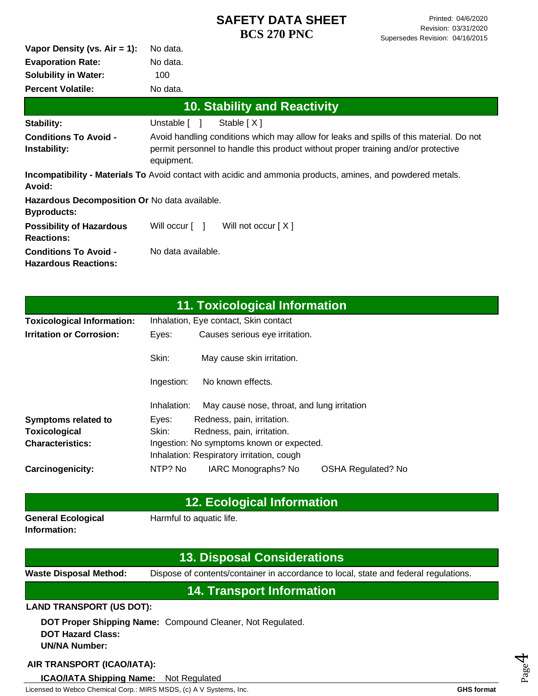| No data. |
|----------|
| 100      |
| No data. |
| No data. |
|          |

| <b>10. Stability and Reactivity</b>                                 |                                                                                                                                                                                            |  |  |
|---------------------------------------------------------------------|--------------------------------------------------------------------------------------------------------------------------------------------------------------------------------------------|--|--|
| Stability:                                                          | Unstable [ ]<br>Stable $[X]$                                                                                                                                                               |  |  |
| <b>Conditions To Avoid -</b><br>Instability:                        | Avoid handling conditions which may allow for leaks and spills of this material. Do not<br>permit personnel to handle this product without proper training and/or protective<br>equipment. |  |  |
| Avoid:                                                              | <b>Incompatibility - Materials To</b> Avoid contact with acidic and ammonia products, amines, and powdered metals.                                                                         |  |  |
| Hazardous Decomposition Or No data available.<br><b>Byproducts:</b> |                                                                                                                                                                                            |  |  |
| <b>Possibility of Hazardous</b><br><b>Reactions:</b>                | Will occur [ ]<br>Will not occur $[X]$                                                                                                                                                     |  |  |
| <b>Conditions To Avoid -</b><br><b>Hazardous Reactions:</b>         | No data available.                                                                                                                                                                         |  |  |

| 11. Toxicological Information     |                                           |                                             |                           |  |
|-----------------------------------|-------------------------------------------|---------------------------------------------|---------------------------|--|
| <b>Toxicological Information:</b> | Inhalation, Eye contact, Skin contact     |                                             |                           |  |
| <b>Irritation or Corrosion:</b>   | Eyes:                                     | Causes serious eye irritation.              |                           |  |
|                                   | Skin:                                     | May cause skin irritation.                  |                           |  |
|                                   | Ingestion:                                | No known effects.                           |                           |  |
|                                   | Inhalation:                               | May cause nose, throat, and lung irritation |                           |  |
| <b>Symptoms related to</b>        | Eyes:                                     | Redness, pain, irritation.                  |                           |  |
| Toxicological                     | Skin:                                     | Redness, pain, irritation.                  |                           |  |
| <b>Characteristics:</b>           | Ingestion: No symptoms known or expected. |                                             |                           |  |
|                                   |                                           | Inhalation: Respiratory irritation, cough   |                           |  |
| <b>Carcinogenicity:</b>           | NTP? No                                   | IARC Monographs? No                         | <b>OSHA Regulated? No</b> |  |

| <b>12. Ecological Information</b>         |                          |  |  |
|-------------------------------------------|--------------------------|--|--|
| <b>General Ecological</b><br>Information: | Harmful to aquatic life. |  |  |

|                                                  | <b>13. Disposal Considerations</b>                                                   |  |  |
|--------------------------------------------------|--------------------------------------------------------------------------------------|--|--|
| <b>Waste Disposal Method:</b>                    | Dispose of contents/container in accordance to local, state and federal regulations. |  |  |
| <b>14. Transport Information</b>                 |                                                                                      |  |  |
| <b>LAND TRANSPORT (US DOT):</b>                  |                                                                                      |  |  |
| <b>DOT Hazard Class:</b><br><b>UN/NA Number:</b> | DOT Proper Shipping Name: Compound Cleaner, Not Regulated.                           |  |  |

#### **AIR TRANSPORT (ICAO/IATA):**

Licensed to Webco Chemical Corp.: MIRS MSDS, (c) A V Systems, Inc. **GHS** format **GHS** format **ICAO/IATA Shipping Name:** Not Regulated